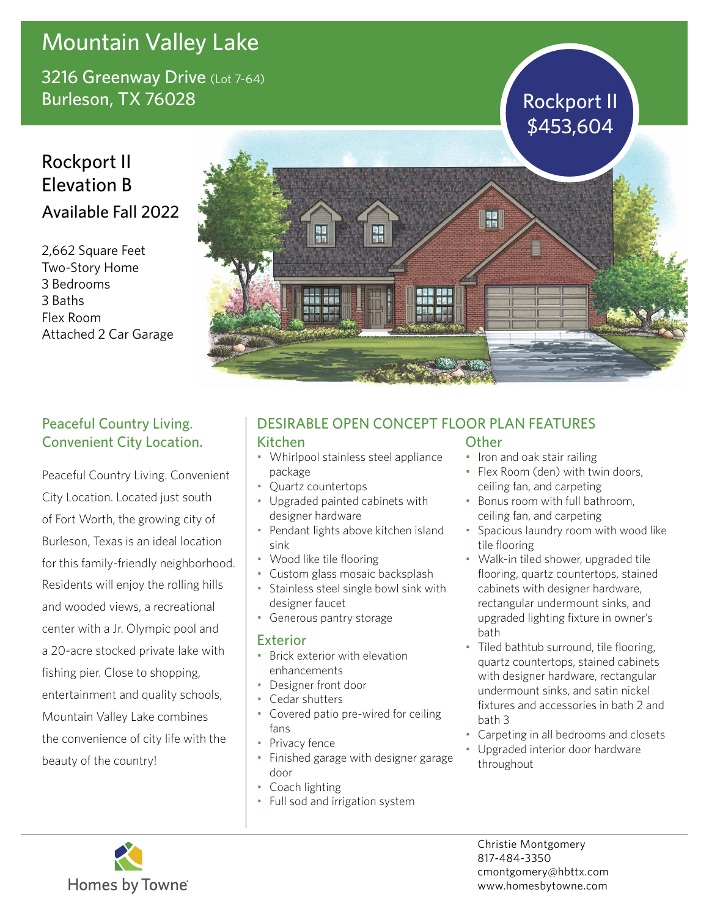# Mountain Valley Lake

3216 Greenway Drive (Lot 7-64) Burleson, TX 76028 Rockport II

## Rockport II Elevation B Available Fall 2022

2,662 Square Feet Two-Story Home 3 Bedrooms 3 Baths Flex Room Attached 2 Car Garage



### Peaceful Country Living. Convenient City Location.

Peaceful Country Living. Convenient City Location. Located just south of Fort Worth, the growing city of Burleson, Texas is an ideal location for this family-friendly neighborhood. Residents will enjoy the rolling hills and wooded views, a recreational center with a Jr. Olympic pool and a 20-acre stocked private lake with fishing pier. Close to shopping, entertainment and quality schools, Mountain Valley Lake combines the convenience of city life with the beauty of the country!

### DESIRABLE OPEN CONCEPT FLOOR PLAN FEATURES

#### Kitchen

- Whirlpool stainless steel appliance package
- Quartz countertops
- Upgraded painted cabinets with designer hardware
- Pendant lights above kitchen island sink
- Wood like tile flooring
- Custom glass mosaic backsplash
- Stainless steel single bowl sink with designer faucet
- Generous pantry storage

#### Exterior

- Brick exterior with elevation enhancements
- Designer front door
- Cedar shutters
- Covered patio pre-wired for ceiling fans
- Privacy fence
- Finished garage with designer garage door
- Coach lighting
- Full sod and irrigation system

### **Other**

- Iron and oak stair railing
- Flex Room (den) with twin doors, ceiling fan, and carpeting
- Bonus room with full bathroom, ceiling fan, and carpeting
- Spacious laundry room with wood like tile flooring
- Walk-in tiled shower, upgraded tile flooring, quartz countertops, stained cabinets with designer hardware, rectangular undermount sinks, and upgraded lighting fixture in owner's bath
- Tiled bathtub surround, tile flooring, quartz countertops, stained cabinets with designer hardware, rectangular undermount sinks, and satin nickel fixtures and accessories in bath 2 and bath 3
- Carpeting in all bedrooms and closets
- Upgraded interior door hardware throughout